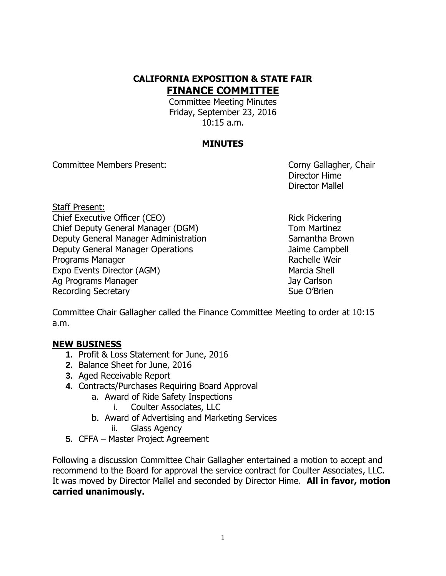## **CALIFORNIA EXPOSITION & STATE FAIR FINANCE COMMITTEE**

Committee Meeting Minutes Friday, September 23, 2016 10:15 a.m.

#### **MINUTES**

Committee Members Present: Committee Members Present:

Director Hime Director Mallel

Staff Present: Chief Executive Officer (CEO) Rick Pickering Chief Deputy General Manager (DGM) Tom Martinez Deputy General Manager Administration Samantha Brown Deputy General Manager Operations **Campbell** Jaime Campbell Programs Manager **Rachelle Weir** Rachelle Weir Expo Events Director (AGM) Marcia Shell Ag Programs Manager Jay Carlson Recording Secretary **Sue O'Brien** Sue O'Brien

Committee Chair Gallagher called the Finance Committee Meeting to order at 10:15 a.m.

#### **NEW BUSINESS**

- **1.** Profit & Loss Statement for June, 2016
- **2.** Balance Sheet for June, 2016
- **3.** Aged Receivable Report
- **4.** Contracts/Purchases Requiring Board Approval
	- a. Award of Ride Safety Inspections
		- i. Coulter Associates, LLC
	- b. Award of Advertising and Marketing Services
		- ii. Glass Agency
- **5.** CFFA Master Project Agreement

Following a discussion Committee Chair Gallagher entertained a motion to accept and recommend to the Board for approval the service contract for Coulter Associates, LLC. It was moved by Director Mallel and seconded by Director Hime. **All in favor, motion carried unanimously.**